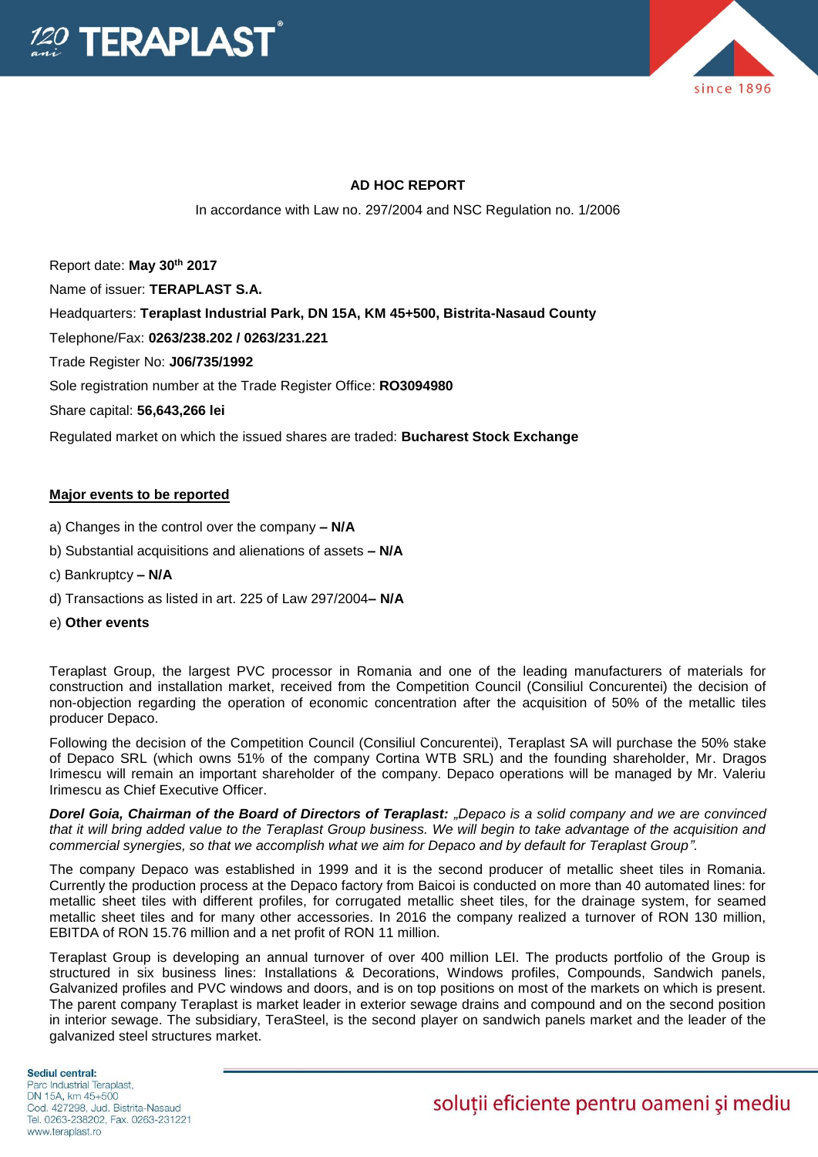



## **AD HOC REPORT**

In accordance with Law no. 297/2004 and NSC Regulation no. 1/2006

Report date: **May 30th 2017** Name of issuer: **TERAPLAST S.A.**  Headquarters: **Teraplast Industrial Park, DN 15A, KM 45+500, Bistrita-Nasaud County** Telephone/Fax: **0263/238.202 / 0263/231.221** Trade Register No: **J06/735/1992**

Sole registration number at the Trade Register Office: **RO3094980**

Share capital: **56,643,266 lei** 

Regulated market on which the issued shares are traded: **Bucharest Stock Exchange**

## **Major events to be reported**

- a) Changes in the control over the company **– N/A**
- b) Substantial acquisitions and alienations of assets **– N/A**
- c) Bankruptcy **– N/A**
- d) Transactions as listed in art. 225 of Law 297/2004**– N/A**
- e) **Other events**

Teraplast Group, the largest PVC processor in Romania and one of the leading manufacturers of materials for construction and installation market, received from the Competition Council (Consiliul Concurentei) the decision of non-objection regarding the operation of economic concentration after the acquisition of 50% of the metallic tiles producer Depaco.

Following the decision of the Competition Council (Consiliul Concurentei), Teraplast SA will purchase the 50% stake of Depaco SRL (which owns 51% of the company Cortina WTB SRL) and the founding shareholder, Mr. Dragos Irimescu will remain an important shareholder of the company. Depaco operations will be managed by Mr. Valeriu Irimescu as Chief Executive Officer.

*Dorel Goia, Chairman of the Board of Directors of Teraplast: "Depaco is a solid company and we are convinced that it will bring added value to the Teraplast Group business. We will begin to take advantage of the acquisition and commercial synergies, so that we accomplish what we aim for Depaco and by default for Teraplast Group".* 

The company Depaco was established in 1999 and it is the second producer of metallic sheet tiles in Romania. Currently the production process at the Depaco factory from Baicoi is conducted on more than 40 automated lines: for metallic sheet tiles with different profiles, for corrugated metallic sheet tiles, for the drainage system, for seamed metallic sheet tiles and for many other accessories. In 2016 the company realized a turnover of RON 130 million, EBITDA of RON 15.76 million and a net profit of RON 11 million.

Teraplast Group is developing an annual turnover of over 400 million LEI. The products portfolio of the Group is structured in six business lines: Installations & Decorations, Windows profiles, Compounds, Sandwich panels, Galvanized profiles and PVC windows and doors, and is on top positions on most of the markets on which is present. The parent company Teraplast is market leader in exterior sewage drains and compound and on the second position in interior sewage. The subsidiary, TeraSteel, is the second player on sandwich panels market and the leader of the galvanized steel structures market.